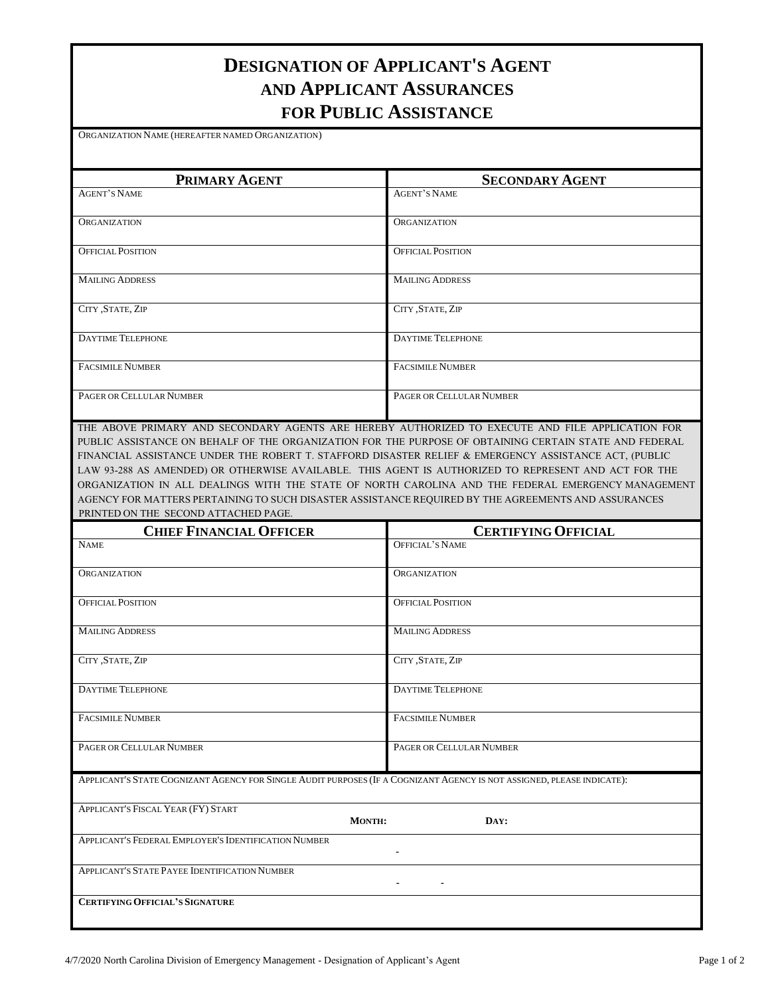## **DESIGNATION OF APPLICANT'S AGENT AND APPLICANT ASSURANCES FOR PUBLIC ASSISTANCE**

ORGANIZATION NAME (HEREAFTER NAMED ORGANIZATION)

| PRIMARY AGENT            | <b>SECONDARY AGENT</b>   |
|--------------------------|--------------------------|
| <b>AGENT'S NAME</b>      | <b>AGENT'S NAME</b>      |
|                          |                          |
| <b>ORGANIZATION</b>      | <b>ORGANIZATION</b>      |
|                          |                          |
| <b>OFFICIAL POSITION</b> | <b>OFFICIAL POSITION</b> |
|                          |                          |
| <b>MAILING ADDRESS</b>   | <b>MAILING ADDRESS</b>   |
|                          |                          |
| CITY , STATE, ZIP        | CITY , STATE, ZIP        |
|                          |                          |
| <b>DAYTIME TELEPHONE</b> | <b>DAYTIME TELEPHONE</b> |
|                          |                          |
| <b>FACSIMILE NUMBER</b>  | <b>FACSIMILE NUMBER</b>  |
|                          |                          |
| PAGER OR CELLULAR NUMBER | PAGER OR CELLULAR NUMBER |
|                          |                          |

THE ABOVE PRIMARY AND SECONDARY AGENTS ARE HEREBY AUTHORIZED TO EXECUTE AND FILE APPLICATION FOR PUBLIC ASSISTANCE ON BEHALF OF THE ORGANIZATION FOR THE PURPOSE OF OBTAINING CERTAIN STATE AND FEDERAL FINANCIAL ASSISTANCE UNDER THE ROBERT T. STAFFORD DISASTER RELIEF & EMERGENCY ASSISTANCE ACT, (PUBLIC LAW 93-288 AS AMENDED) OR OTHERWISE AVAILABLE. THIS AGENT IS AUTHORIZED TO REPRESENT AND ACT FOR THE ORGANIZATION IN ALL DEALINGS WITH THE STATE OF NORTH CAROLINA AND THE FEDERAL EMERGENCY MANAGEMENT AGENCY FOR MATTERS PERTAINING TO SUCH DISASTER ASSISTANCE REQUIRED BY THE AGREEMENTS AND ASSURANCES PRINTED ON THE SECOND ATTACHED PAGE.

| <b>CHIEF FINANCIAL OFFICER</b>                                                                                         | <b>CERTIFYING OFFICIAL</b> |
|------------------------------------------------------------------------------------------------------------------------|----------------------------|
| <b>NAME</b>                                                                                                            | <b>OFFICIAL'S NAME</b>     |
| <b>ORGANIZATION</b>                                                                                                    | <b>ORGANIZATION</b>        |
| <b>OFFICIAL POSITION</b>                                                                                               | <b>OFFICIAL POSITION</b>   |
| <b>MAILING ADDRESS</b>                                                                                                 | <b>MAILING ADDRESS</b>     |
| CITY , STATE, ZIP                                                                                                      | CITY, STATE, ZIP           |
| <b>DAYTIME TELEPHONE</b>                                                                                               | <b>DAYTIME TELEPHONE</b>   |
| <b>FACSIMILE NUMBER</b>                                                                                                | <b>FACSIMILE NUMBER</b>    |
| PAGER OR CELLULAR NUMBER                                                                                               | PAGER OR CELLULAR NUMBER   |
| APPLICANT'S STATE COGNIZANT AGENCY FOR SINGLE AUDIT PURPOSES (IF A COGNIZANT AGENCY IS NOT ASSIGNED, PLEASE INDICATE): |                            |
| APPLICANT'S FISCAL YEAR (FY) START<br><b>MONTH:</b>                                                                    | DAY:                       |
| APPLICANT'S FEDERAL EMPLOYER'S IDENTIFICATION NUMBER                                                                   |                            |
| APPLICANT'S STATE PAYEE IDENTIFICATION NUMBER                                                                          |                            |
| <b>CERTIFYING OFFICIAL'S SIGNATURE</b>                                                                                 |                            |